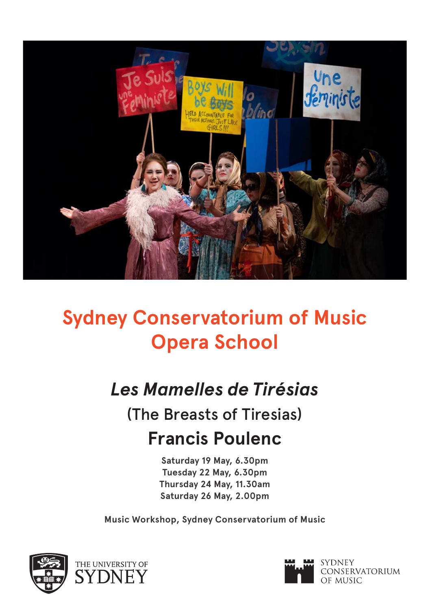

# **Sydney Conservatorium of Music Opera School**

# *Les Mamelles de Tirésias*

(The Breasts of Tiresias) **Francis Poulenc**

> **Saturday 19 May, 6.30pm Tuesday 22 May, 6.30pm Thursday 24 May, 11.30am Saturday 26 May, 2.00pm**

**Music Workshop, Sydney Conservatorium of Music**



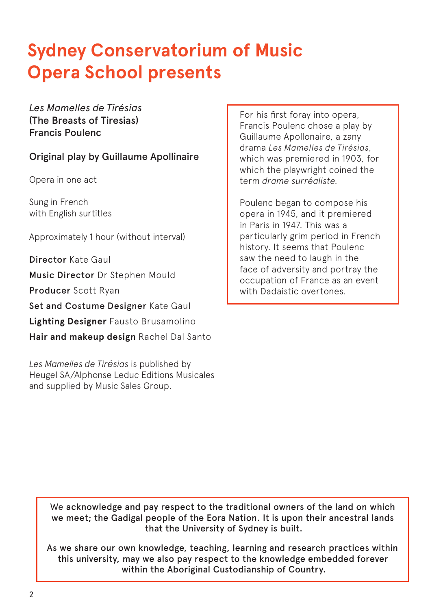# **Sydney Conservatorium of Music Opera School presents**

*Les Mamelles de Tirésias* (The Breasts of Tiresias) Francis Poulenc

### Original play by Guillaume Apollinaire

Opera in one act

Sung in French with English surtitles

Approximately 1 hour (without interval)

Director Kate Gaul Music Director Dr Stephen Mould Producer Scott Ryan Set and Costume Designer Kate Gaul **Lighting Designer** Fausto Brusamolino **Hair and makeup design** Rachel Dal Santo

*Les Mamelles de Tirésias* is published by Heugel SA/Alphonse Leduc Editions Musicales and supplied by Music Sales Group.

For his first foray into opera, Francis Poulenc chose a play by Guillaume Apollonaire, a zany drama *Les Mamelles de Tirésias*, which was premiered in 1903, for which the playwright coined the term *drame surréaliste.*

Poulenc began to compose his opera in 1945, and it premiered in Paris in 1947. This was a particularly grim period in French history. It seems that Poulenc saw the need to laugh in the face of adversity and portray the occupation of France as an event with Dadaistic overtones.

We acknowledge and pay respect to the traditional owners of the land on which we meet; the Gadigal people of the Eora Nation. It is upon their ancestral lands that the University of Sydney is built.

As we share our own knowledge, teaching, learning and research practices within this university, may we also pay respect to the knowledge embedded forever within the Aboriginal Custodianship of Country.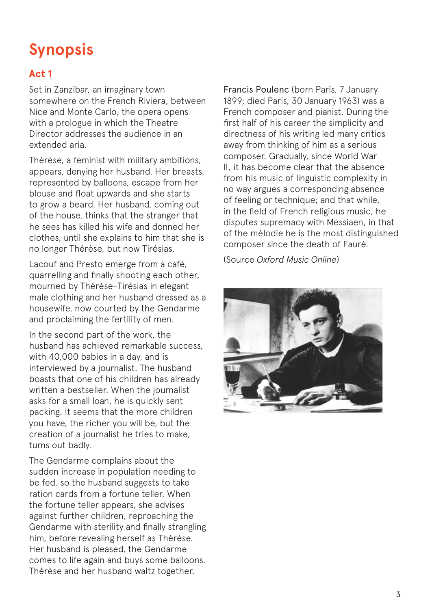# **Synopsis**

### **Act 1**

Set in Zanzibar, an imaginary town somewhere on the French Riviera, between Nice and Monte Carlo, the opera opens with a prologue in which the Theatre Director addresses the audience in an extended aria.

Thérèse, a feminist with military ambitions, appears, denying her husband. Her breasts, represented by balloons, escape from her blouse and float upwards and she starts to grow a beard. Her husband, coming out of the house, thinks that the stranger that he sees has killed his wife and donned her clothes, until she explains to him that she is no longer Thérèse, but now Tirésias.

Lacouf and Presto emerge from a café, quarrelling and finally shooting each other, mourned by Thérèse-Tirésias in elegant male clothing and her husband dressed as a housewife, now courted by the Gendarme and proclaiming the fertility of men.

In the second part of the work, the husband has achieved remarkable success, with 40,000 babies in a day, and is interviewed by a journalist. The husband boasts that one of his children has already written a bestseller. When the journalist asks for a small loan, he is quickly sent packing. It seems that the more children you have, the richer you will be, but the creation of a journalist he tries to make, turns out badly.

The Gendarme complains about the sudden increase in population needing to be fed, so the husband suggests to take ration cards from a fortune teller. When the fortune teller appears, she advises against further children, reproaching the Gendarme with sterility and finally strangling him, before revealing herself as Thérèse. Her husband is pleased, the Gendarme comes to life again and buys some balloons. Thérèse and her husband waltz together.

Francis Poulenc (born Paris, 7 January 1899; died Paris, 30 January 1963) was a French composer and pianist. During the first half of his career the simplicity and directness of his writing led many critics away from thinking of him as a serious composer. Gradually, since World War II, it has become clear that the absence from his music of linguistic complexity in no way argues a corresponding absence of feeling or technique; and that while, in the field of French religious music, he disputes supremacy with Messiaen, in that of the mélodie he is the most distinguished composer since the death of Fauré.

(Source *Oxford Music Online*)

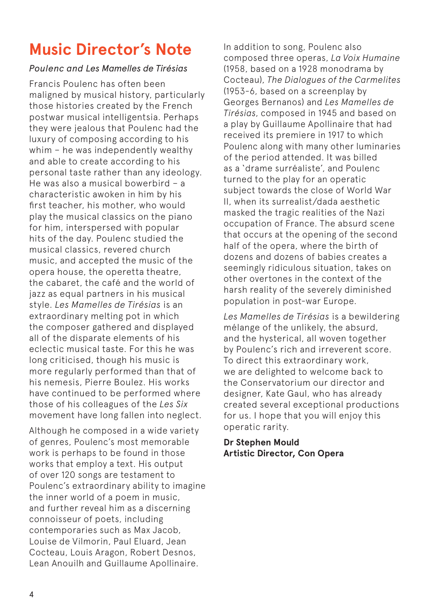# **Music Director's Note**

### *Poulenc and Les Mamelles de Tirésias*

Francis Poulenc has often been maligned by musical history, particularly those histories created by the French postwar musical intelligentsia. Perhaps they were jealous that Poulenc had the luxury of composing according to his whim – he was independently wealthy and able to create according to his personal taste rather than any ideology. He was also a musical bowerbird – a characteristic awoken in him by his first teacher, his mother, who would play the musical classics on the piano for him, interspersed with popular hits of the day. Poulenc studied the musical classics, revered church music, and accepted the music of the opera house, the operetta theatre, the cabaret, the café and the world of jazz as equal partners in his musical style. *Les Mamelles de Tirésias* is an extraordinary melting pot in which the composer gathered and displayed all of the disparate elements of his eclectic musical taste. For this he was long criticised, though his music is more regularly performed than that of his nemesis, Pierre Boulez. His works have continued to be performed where those of his colleagues of the *Les Six* movement have long fallen into neglect.

Although he composed in a wide variety of genres, Poulenc's most memorable work is perhaps to be found in those works that employ a text. His output of over 120 songs are testament to Poulenc's extraordinary ability to imagine the inner world of a poem in music, and further reveal him as a discerning connoisseur of poets, including contemporaries such as Max Jacob, Louise de Vilmorin, Paul Eluard, Jean Cocteau, Louis Aragon, Robert Desnos, Lean Anouilh and Guillaume Apollinaire.

In addition to song, Poulenc also composed three operas, *La Voix Humaine* (1958, based on a 1928 monodrama by Cocteau), *The Dialogues of the Carmelites*  (1953-6, based on a screenplay by Georges Bernanos) and *Les Mamelles de Tirésias*, composed in 1945 and based on a play by Guillaume Apollinaire that had received its premiere in 1917 to which Poulenc along with many other luminaries of the period attended. It was billed as a 'drame surréaliste', and Poulenc turned to the play for an operatic subject towards the close of World War II, when its surrealist/dada aesthetic masked the tragic realities of the Nazi occupation of France. The absurd scene that occurs at the opening of the second half of the opera, where the birth of dozens and dozens of babies creates a seemingly ridiculous situation, takes on other overtones in the context of the harsh reality of the severely diminished population in post-war Europe.

*Les Mamelles de Tirésias* is a bewildering mélange of the unlikely, the absurd, and the hysterical, all woven together by Poulenc's rich and irreverent score. To direct this extraordinary work, we are delighted to welcome back to the Conservatorium our director and designer, Kate Gaul, who has already created several exceptional productions for us. I hope that you will enjoy this operatic rarity.

#### **Dr Stephen Mould Artistic Director, Con Opera**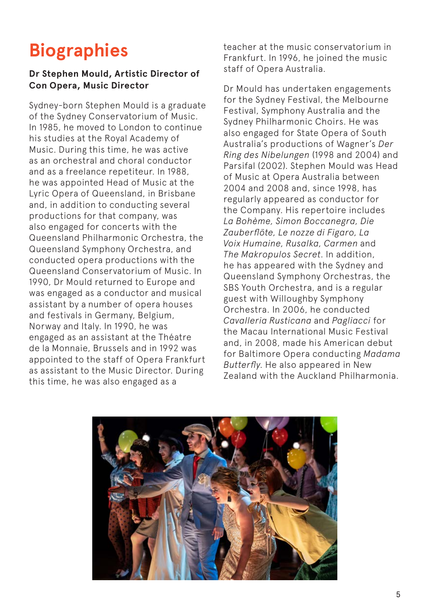# **Biographies**

### **Dr Stephen Mould, Artistic Director of Con Opera, Music Director**

Sydney-born Stephen Mould is a graduate of the Sydney Conservatorium of Music. In 1985, he moved to London to continue his studies at the Royal Academy of Music. During this time, he was active as an orchestral and choral conductor and as a freelance repetiteur. In 1988, he was appointed Head of Music at the Lyric Opera of Queensland, in Brisbane and, in addition to conducting several productions for that company, was also engaged for concerts with the Queensland Philharmonic Orchestra, the Queensland Symphony Orchestra, and conducted opera productions with the Queensland Conservatorium of Music. In 1990, Dr Mould returned to Europe and was engaged as a conductor and musical assistant by a number of opera houses and festivals in Germany, Belgium, Norway and Italy. In 1990, he was engaged as an assistant at the Théatre de la Monnaie, Brussels and in 1992 was appointed to the staff of Opera Frankfurt as assistant to the Music Director. During this time, he was also engaged as a

teacher at the music conservatorium in Frankfurt. In 1996, he joined the music staff of Opera Australia.

Dr Mould has undertaken engagements for the Sydney Festival, the Melbourne Festival, Symphony Australia and the Sydney Philharmonic Choirs. He was also engaged for State Opera of South Australia's productions of Wagner's *Der Ring des Nibelungen* (1998 and 2004) and Parsifal (2002). Stephen Mould was Head of Music at Opera Australia between 2004 and 2008 and, since 1998, has regularly appeared as conductor for the Company. His repertoire includes *La Bohème, Simon Boccanegra, Die Zauberflöte, Le nozze di Figaro, La Voix Humaine, Rusalka, Carmen* and *The Makropulos Secret*. In addition, he has appeared with the Sydney and Queensland Symphony Orchestras, the SBS Youth Orchestra, and is a regular guest with Willoughby Symphony Orchestra. In 2006, he conducted *Cavalleria Rusticana* and *Pagliacci* for the Macau International Music Festival and, in 2008, made his American debut for Baltimore Opera conducting *Madama Butterfly*. He also appeared in New Zealand with the Auckland Philharmonia.

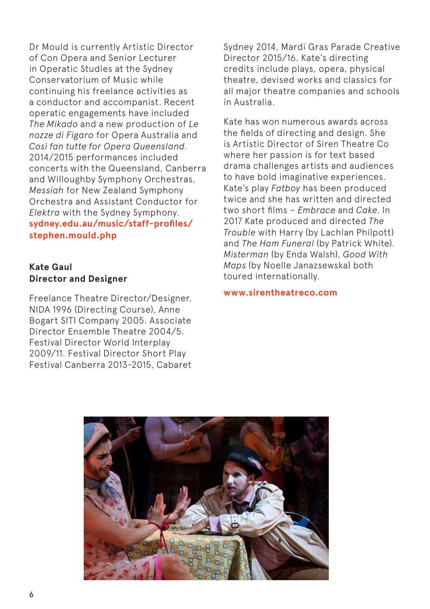Dr Mould is currently Artistic Director of Con Opera and Senior Lecturer in Operatic Studies at the Sydney Conservatorium of Music while continuing his freelance activities as a conductor and accompanist. Recent operatic engagements have included *The Mikado* and a new production of *Le nozze di Figaro* for Opera Australia and *Così fan tutte for Opera Queensland*. 2014/2015 performances included concerts with the Queensland, Canberra and Willoughby Symphony Orchestras, *Messiah* for New Zealand Symphony Orchestra and Assistant Conductor for *Elektra* with the Sydney Symphony. **sydney.edu.au/music/staff-profiles/ stephen.mould.php**

#### **Kate Gaul Director and Designer**

Freelance Theatre Director/Designer. NIDA 1996 (Directing Course), Anne Bogart SITI Company 2005. Associate Director Ensemble Theatre 2004/5. Festival Director World Interplay 2009/11. Festival Director Short Play Festival Canberra 2013-2015, Cabaret Sydney 2014, Mardi Gras Parade Creative Director 2015/16. Kate's directing credits include plays, opera, physical theatre, devised works and classics for all major theatre companies and schools in Australia.

Kate has won numerous awards across the fields of directing and design. She is Artistic Director of Siren Theatre Co where her passion is for text based drama challenges artists and audiences to have bold imaginative experiences. Kate's play *Fatboy* has been produced twice and she has written and directed two short films – *Embrace* and *Cake*. In 2017 Kate produced and directed *The Trouble* with Harry (by Lachlan Philpott) and *The Ham Funeral* (by Patrick White). *Misterman* (by Enda Walsh), *Good With Maps* (by Noelle Janazsewska) both toured internationally.

**www.sirentheatreco.com**

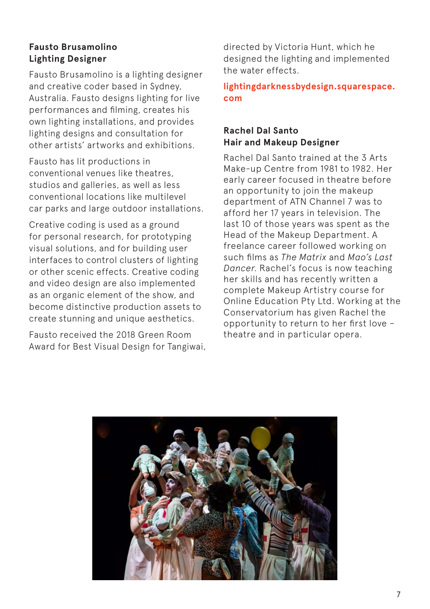### **Fausto Brusamolino Lighting Designer**

Fausto Brusamolino is a lighting designer and creative coder based in Sydney, Australia. Fausto designs lighting for live performances and filming, creates his own lighting installations, and provides lighting designs and consultation for other artists' artworks and exhibitions.

Fausto has lit productions in conventional venues like theatres, studios and galleries, as well as less conventional locations like multilevel car parks and large outdoor installations.

Creative coding is used as a ground for personal research, for prototyping visual solutions, and for building user interfaces to control clusters of lighting or other scenic effects. Creative coding and video design are also implemented as an organic element of the show, and become distinctive production assets to create stunning and unique aesthetics.

Fausto received the 2018 Green Room Award for Best Visual Design for Tangiwai, directed by Victoria Hunt, which he designed the lighting and implemented the water effects.

**lightingdarknessbydesign.squarespace. com**

### **Rachel Dal Santo Hair and Makeup Designer**

Rachel Dal Santo trained at the 3 Arts Make-up Centre from 1981 to 1982. Her early career focused in theatre before an opportunity to join the makeup department of ATN Channel 7 was to afford her 17 years in television. The last 10 of those years was spent as the Head of the Makeup Department. A freelance career followed working on such films as *The Matrix* and *Mao's Last Dancer*. Rachel's focus is now teaching her skills and has recently written a complete Makeup Artistry course for Online Education Pty Ltd. Working at the Conservatorium has given Rachel the opportunity to return to her first love – theatre and in particular opera.

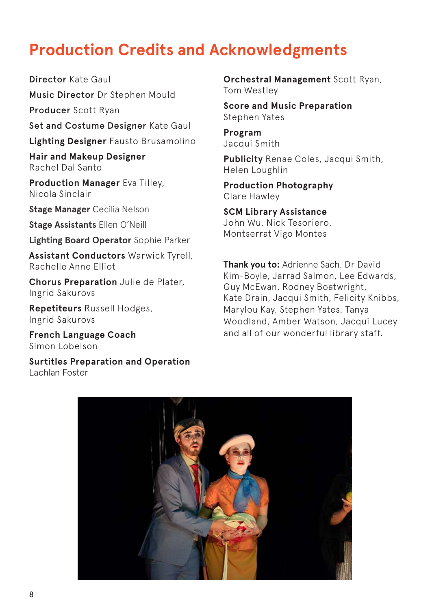## **Production Credits and Acknowledgments**

Director Kate Gaul Music Director Dr Stephen Mould

Producer Scott Ryan

Set and Costume Designer Kate Gaul **Lighting Designer** Fausto Brusamolino

**Hair and Makeup Designer**

Rachel Dal Santo

**Production Manager** Eva Tilley, Nicola Sinclair

**Stage Manager** Cecilia Nelson

**Stage Assistants** Ellen O'Neill

**Lighting Board Operator** Sophie Parker

**Assistant Conductors** Warwick Tyrell, Rachelle Anne Elliot

**Chorus Preparation** Julie de Plater, Ingrid Sakurovs

**Repetiteurs** Russell Hodges, Ingrid Sakurovs

**French Language Coach**  Simon Lobelson

**Surtitles Preparation and Operation** Lachlan Foster

**Orchestral Management** Scott Ryan, Tom Westley

**Score and Music Preparation**  Stephen Yates

**Program** Jacqui Smith

**Publicity** Renae Coles, Jacqui Smith, Helen Loughlin

**Production Photography**  Clare Hawley

**SCM Library Assistance** John Wu, Nick Tesoriero, Montserrat Vigo Montes

**Thank you to:** Adrienne Sach, Dr David Kim-Boyle, Jarrad Salmon, Lee Edwards, Guy McEwan, Rodney Boatwright, Kate Drain, Jacqui Smith, Felicity Knibbs, Marylou Kay, Stephen Yates, Tanya Woodland, Amber Watson, Jacqui Lucey and all of our wonderful library staff.

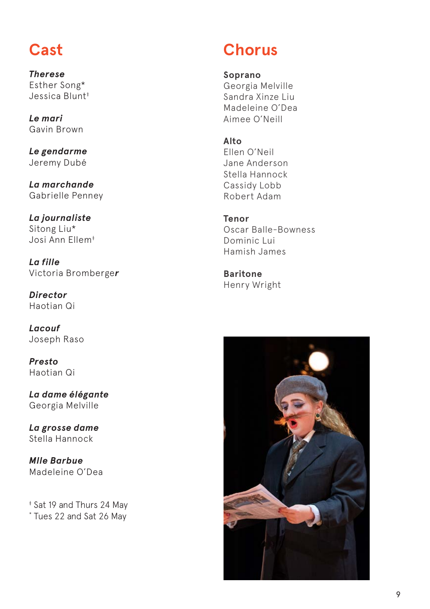## **Cast**

*Therese* Esther Song\* Jessica Blunt<sup>#</sup>

*Le mari* Gavin Brown

*Le gendarme* Jeremy Dubé

*La marchande* Gabrielle Penney

*La journaliste* Sitong Liu\* Josi Ann Ellem‡

*La fille* Victoria Bromberge*r*

*Director* Haotian Qi

*Lacouf* Joseph Raso

*Presto* Haotian Qi

*La dame élégante* Georgia Melville

*La grosse dame* Stella Hannock

*Mlle Barbue* Madeleine O'Dea

‡ Sat 19 and Thurs 24 May \* Tues 22 and Sat 26 May

# **Chorus**

#### **Soprano**

Georgia Melville Sandra Xinze Liu Madeleine O'Dea Aimee O'Neill

### **Alto**

Ellen O'Neil Jane Anderson Stella Hannock Cassidy Lobb Robert Adam

### **Tenor**

Oscar Balle-Bowness Dominic Lui Hamish James

**Baritone** Henry Wright

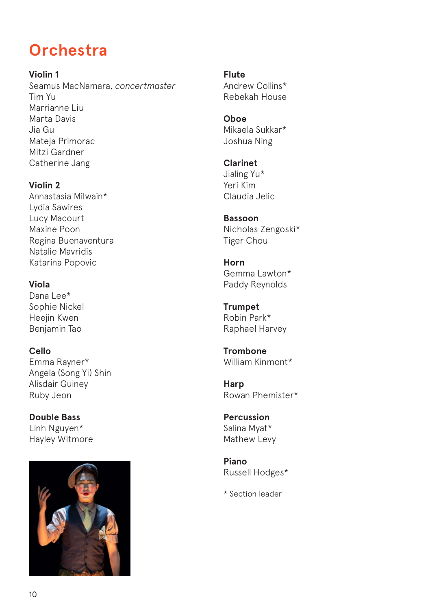## **Orchestra**

**Violin 1** Seamus MacNamara, *concertmaster* Tim Yu Marrianne Liu Marta Davis Jia Gu Mateja Primorac Mitzi Gardner Catherine Jang

**Violin 2** Annastasia Milwain\* Lydia Sawires Lucy Macourt Maxine Poon Regina Buenaventura Natalie Mavridis Katarina Popovic

#### **Viola**

Dana Lee\* Sophie Nickel Heejin Kwen Benjamin Tao

**Cello** Emma Rayner\* Angela (Song Yi) Shin Alisdair Guiney Ruby Jeon

**Double Bass** Linh Nguyen\* Hayley Witmore



**Flute** Andrew Collins\* Rebekah House

**Oboe** Mikaela Sukkar\* Joshua Ning

**Clarinet** Jialing Yu\* Yeri Kim Claudia Jelic

**Bassoon** Nicholas Zengoski\* Tiger Chou

**Horn** Gemma Lawton\* Paddy Reynolds

**Trumpet** Robin Park\* Raphael Harvey

**Trombone** William Kinmont\*

**Harp** Rowan Phemister\*

**Percussion** Salina Myat\* Mathew Levy

**Piano** Russell Hodges\*

\* Section leader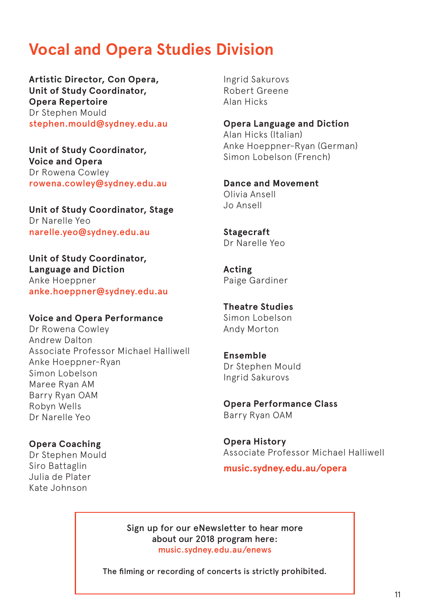## **Vocal and Opera Studies Division**

**Artistic Director, Con Opera, Unit of Study Coordinator, Opera Repertoire** Dr Stephen Mould stephen.mould@sydney.edu.au

**Unit of Study Coordinator, Voice and Opera** Dr Rowena Cowley rowena.cowley@sydney.edu.au

**Unit of Study Coordinator, Stage**  Dr Narelle Yeo narelle.yeo@sydney.edu.au

**Unit of Study Coordinator, Language and Diction** Anke Hoeppner anke.hoeppner@sydney.edu.au

#### **Voice and Opera Performance**

Dr Rowena Cowley Andrew Dalton Associate Professor Michael Halliwell Anke Hoeppner-Ryan Simon Lobelson Maree Ryan AM Barry Ryan OAM Robyn Wells Dr Narelle Yeo

**Opera Coaching**  Dr Stephen Mould Siro Battaglin Julia de Plater Kate Johnson

Ingrid Sakurovs Robert Greene Alan Hicks

**Opera Language and Diction**  Alan Hicks (Italian) Anke Hoeppner-Ryan (German) Simon Lobelson (French)

**Dance and Movement**  Olivia Ansell Jo Ansell

**Stagecraft** Dr Narelle Yeo

**Acting** Paige Gardiner

**Theatre Studies** Simon Lobelson Andy Morton

**Ensemble** Dr Stephen Mould Ingrid Sakurovs

**Opera Performance Class** Barry Ryan OAM

**Opera History** Associate Professor Michael Halliwell

**music.sydney.edu.au/opera**

Sign up for our eNewsletter to hear more about our 2018 program here: music.sydney.edu.au/enews

The filming or recording of concerts is strictly prohibited.

11